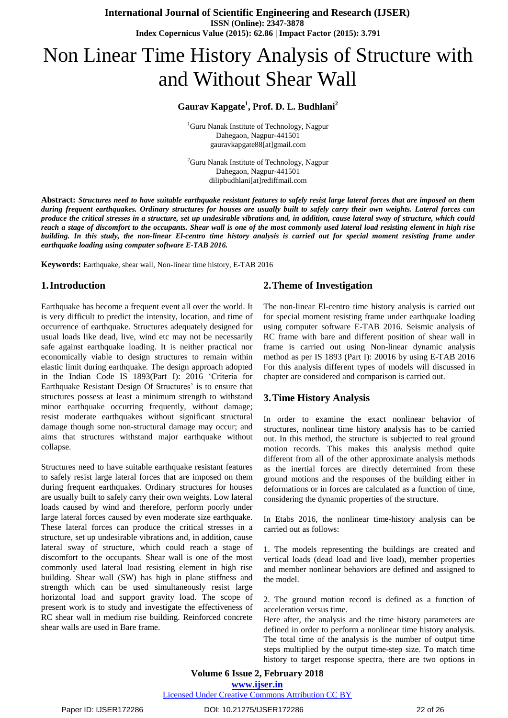# Non Linear Time History Analysis of Structure with and Without Shear Wall

# **Gaurav Kapgate<sup>1</sup> , Prof. D. L. Budhlani<sup>2</sup>**

<sup>1</sup>Guru Nanak Institute of Technology, Nagpur Dahegaon, Nagpur-441501 gauravkapgate88[at]gmail.com

<sup>2</sup>Guru Nanak Institute of Technology, Nagpur Dahegaon, Nagpur-441501 dilipbudhlani[at]rediffmail.com

Abstract: Structures need to have suitable earthquake resistant features to safely resist large lateral forces that are imposed on them during frequent earthquakes. Ordinary structures for houses are usually built to safely carry their own weights. Lateral forces can produce the critical stresses in a structure, set up undesirable vibrations and, in addition, cause lateral sway of structure, which could reach a stage of discomfort to the occupants. Shear wall is one of the most commonly used lateral load resisting element in high rise building. In this study, the non-linear El-centro time history analysis is carried out for special moment resisting frame under *earthquake loading using computer software E-TAB 2016.*

**Keywords:** Earthquake, shear wall, Non-linear time history, E-TAB 2016

# **1.Introduction**

Earthquake has become a frequent event all over the world. It is very difficult to predict the intensity, location, and time of occurrence of earthquake. Structures adequately designed for usual loads like dead, live, wind etc may not be necessarily safe against earthquake loading. It is neither practical nor economically viable to design structures to remain within elastic limit during earthquake. The design approach adopted in the Indian Code IS 1893(Part I): 2016 "Criteria for Earthquake Resistant Design Of Structures' is to ensure that structures possess at least a minimum strength to withstand minor earthquake occurring frequently, without damage; resist moderate earthquakes without significant structural damage though some non-structural damage may occur; and aims that structures withstand major earthquake without collapse.

Structures need to have suitable earthquake resistant features to safely resist large lateral forces that are imposed on them during frequent earthquakes. Ordinary structures for houses are usually built to safely carry their own weights. Low lateral loads caused by wind and therefore, perform poorly under large lateral forces caused by even moderate size earthquake. These lateral forces can produce the critical stresses in a structure, set up undesirable vibrations and, in addition, cause lateral sway of structure, which could reach a stage of discomfort to the occupants. Shear wall is one of the most commonly used lateral load resisting element in high rise building. Shear wall (SW) has high in plane stiffness and strength which can be used simultaneously resist large horizontal load and support gravity load. The scope of present work is to study and investigate the effectiveness of RC shear wall in medium rise building. Reinforced concrete shear walls are used in Bare frame.

# **2.Theme of Investigation**

The non-linear El-centro time history analysis is carried out for special moment resisting frame under earthquake loading using computer software E-TAB 2016. Seismic analysis of RC frame with bare and different position of shear wall in frame is carried out using Non-linear dynamic analysis method as per IS 1893 (Part I): 20016 by using E-TAB 2016 For this analysis different types of models will discussed in chapter are considered and comparison is carried out.

# **3.Time History Analysis**

In order to examine the exact nonlinear behavior of structures, nonlinear time history analysis has to be carried out. In this method, the structure is subjected to real ground motion records. This makes this analysis method quite different from all of the other approximate analysis methods as the inertial forces are directly determined from these ground motions and the responses of the building either in deformations or in forces are calculated as a function of time, considering the dynamic properties of the structure.

In Etabs 2016, the nonlinear time-history analysis can be carried out as follows:

1. The models representing the buildings are created and vertical loads (dead load and live load), member properties and member nonlinear behaviors are defined and assigned to the model.

2. The ground motion record is defined as a function of acceleration versus time.

Here after, the analysis and the time history parameters are defined in order to perform a nonlinear time history analysis. The total time of the analysis is the number of output time steps multiplied by the output time-step size. To match time history to target response spectra, there are two options in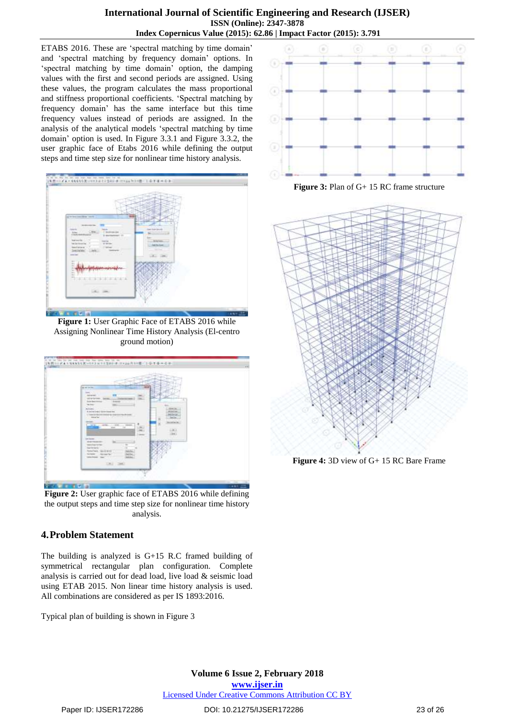# **International Journal of Scientific Engineering and Research (IJSER) ISSN (Online): 2347-3878 Index Copernicus Value (2015): 62.86 | Impact Factor (2015): 3.791**

ETABS 2016. These are "spectral matching by time domain" and "spectral matching by frequency domain" options. In 'spectral matching by time domain' option, the damping values with the first and second periods are assigned. Using these values, the program calculates the mass proportional and stiffness proportional coefficients. "Spectral matching by frequency domain" has the same interface but this time frequency values instead of periods are assigned. In the analysis of the analytical models "spectral matching by time domain" option is used. In Figure 3.3.1 and Figure 3.3.2, the user graphic face of Etabs 2016 while defining the output steps and time step size for nonlinear time history analysis.



**Figure 1:** User Graphic Face of ETABS 2016 while Assigning Nonlinear Time History Analysis (El-centro ground motion)



**Figure 2:** User graphic face of ETABS 2016 while defining the output steps and time step size for nonlinear time history analysis.

# **4.Problem Statement**

The building is analyzed is G+15 R.C framed building of symmetrical rectangular plan configuration. Complete analysis is carried out for dead load, live load & seismic load using ETAB 2015. Non linear time history analysis is used. All combinations are considered as per IS 1893:2016.

Typical plan of building is shown in Figure 3



**Figure 3:** Plan of G+ 15 RC frame structure



**Figure 4:** 3D view of G+ 15 RC Bare Frame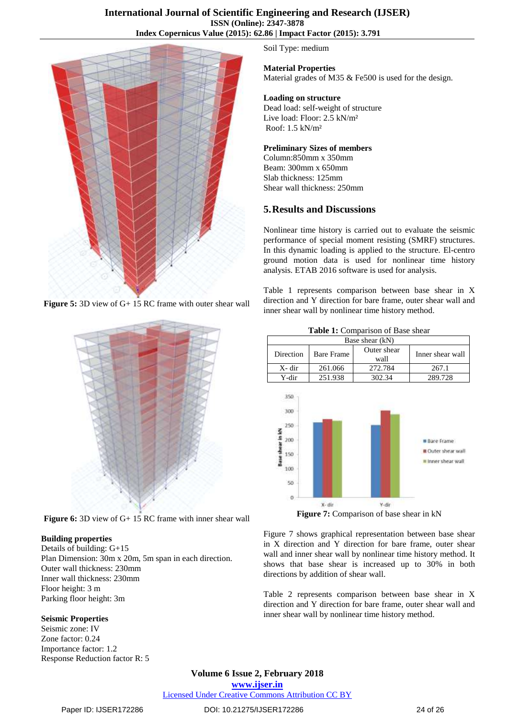

**Figure 5:** 3D view of G+ 15 RC frame with outer shear wall



**Figure 6:** 3D view of G+ 15 RC frame with inner shear wall

#### **Building properties**

Details of building: G+15 Plan Dimension: 30m x 20m, 5m span in each direction. Outer wall thickness: 230mm Inner wall thickness: 230mm Floor height: 3 m Parking floor height: 3m

# **Seismic Properties**

Seismic zone: IV Zone factor: 0.24 Importance factor: 1.2 Response Reduction factor R: 5 Soil Type: medium

## **Material Properties**

Material grades of M35 & Fe500 is used for the design.

#### **Loading on structure**

Dead load: self-weight of structure Live load: Floor: 2.5 kN/m² Roof: 1.5 kN/m²

#### **Preliminary Sizes of members**

Column:850mm x 350mm Beam: 300mm x 650mm Slab thickness: 125mm Shear wall thickness: 250mm

# **5.Results and Discussions**

Nonlinear time history is carried out to evaluate the seismic performance of special moment resisting (SMRF) structures. In this dynamic loading is applied to the structure. El-centro ground motion data is used for nonlinear time history analysis. ETAB 2016 software is used for analysis.

Table 1 represents comparison between base shear in X direction and Y direction for bare frame, outer shear wall and inner shear wall by nonlinear time history method.

| <b>Table 1.</b> Combarison of Dase sheaf |                   |                     |                  |  |  |
|------------------------------------------|-------------------|---------------------|------------------|--|--|
| Base shear (kN)                          |                   |                     |                  |  |  |
| Direction                                | <b>Bare Frame</b> | Outer shear<br>wall | Inner shear wall |  |  |
| X- dir                                   | 261.066           | 272.784             | 267.1            |  |  |
| Y-dir                                    | 251.938           | 302.34              | 289.728          |  |  |
|                                          |                   |                     |                  |  |  |



**Figure 7:** Comparison of base shear in kN

Figure 7 shows graphical representation between base shear in X direction and Y direction for bare frame, outer shear wall and inner shear wall by nonlinear time history method. It shows that base shear is increased up to 30% in both directions by addition of shear wall.

Table 2 represents comparison between base shear in X direction and Y direction for bare frame, outer shear wall and inner shear wall by nonlinear time history method.

#### **Volume 6 Issue 2, February 2018 [www.ijser.in](file:///G:\www.ijser.in\Documents\www.ijser.in)** [Licensed Under Creative Commons Attribution CC BY](http://creativecommons.org/licenses/by/4.0/)

Paper ID: IJSER172286 DOI: 10.21275/IJSER172286 24 of 26

**Table 1:** Comparison of Base shear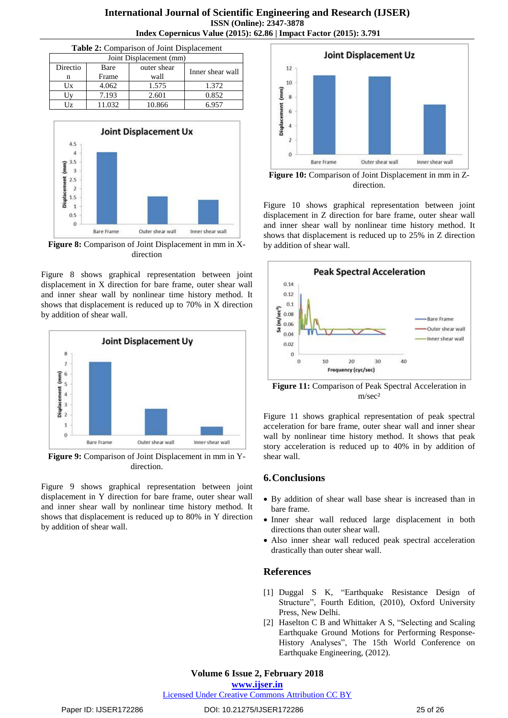## **International Journal of Scientific Engineering and Research (IJSER) ISSN (Online): 2347-3878 Index Copernicus Value (2015): 62.86 | Impact Factor (2015): 3.791**

| <b>Table 2:</b> Comparison of Joint Displacement |        |             |                  |  |  |
|--------------------------------------------------|--------|-------------|------------------|--|--|
| Joint Displacement (mm)                          |        |             |                  |  |  |
| Directio                                         | Bare   | outer shear |                  |  |  |
| n                                                | Frame  | wall        | Inner shear wall |  |  |
| Ux                                               | 4.062  | 1.575       | 1.372            |  |  |
|                                                  | 7.193  | 2.601       | 0.852            |  |  |
| Jz.                                              | 11.032 | 10.866      | 6.957            |  |  |



**Figure 8:** Comparison of Joint Displacement in mm in Xdirection

Figure 8 shows graphical representation between joint displacement in X direction for bare frame, outer shear wall and inner shear wall by nonlinear time history method. It shows that displacement is reduced up to 70% in X direction by addition of shear wall.



**Figure 9:** Comparison of Joint Displacement in mm in Ydirection.

Figure 9 shows graphical representation between joint displacement in Y direction for bare frame, outer shear wall and inner shear wall by nonlinear time history method. It shows that displacement is reduced up to 80% in Y direction by addition of shear wall.



**Figure 10:** Comparison of Joint Displacement in mm in Zdirection.

Figure 10 shows graphical representation between joint displacement in Z direction for bare frame, outer shear wall and inner shear wall by nonlinear time history method. It shows that displacement is reduced up to 25% in Z direction by addition of shear wall.



**Figure 11:** Comparison of Peak Spectral Acceleration in m/sec²

Figure 11 shows graphical representation of peak spectral acceleration for bare frame, outer shear wall and inner shear wall by nonlinear time history method. It shows that peak story acceleration is reduced up to 40% in by addition of shear wall.

# **6.Conclusions**

- By addition of shear wall base shear is increased than in bare frame.
- Inner shear wall reduced large displacement in both directions than outer shear wall.
- Also inner shear wall reduced peak spectral acceleration drastically than outer shear wall.

# **References**

- [1] Duggal S K, "Earthquake Resistance Design of Structure", Fourth Edition, (2010), Oxford University Press, New Delhi.
- [2] Haselton C B and Whittaker A S, "Selecting and Scaling Earthquake Ground Motions for Performing Response-History Analyses", The 15th World Conference on Earthquake Engineering, (2012).

#### **Volume 6 Issue 2, February 2018**

**[www.ijser.in](file:///G:\www.ijser.in\Documents\www.ijser.in)**

[Licensed Under Creative Commons Attribution CC BY](http://creativecommons.org/licenses/by/4.0/)